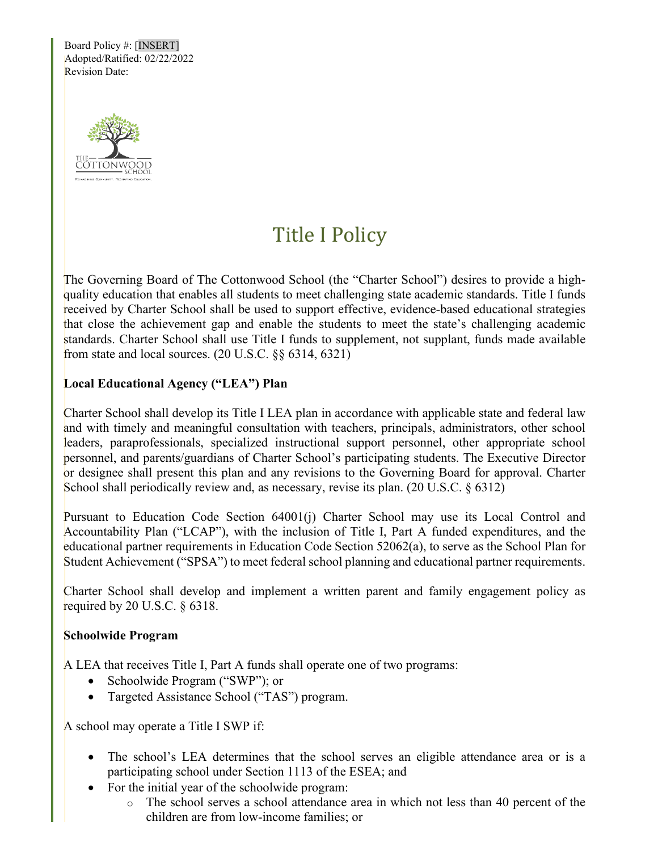Board Policy #: [INSERT] Adopted/Ratified: 02/22/2022 Revision Date:



# Title I Policy

The Governing Board of The Cottonwood School (the "Charter School") desires to provide a highquality education that enables all students to meet challenging state academic standards. Title I funds received by Charter School shall be used to support effective, evidence-based educational strategies that close the achievement gap and enable the students to meet the state's challenging academic standards. Charter School shall use Title I funds to supplement, not supplant, funds made available from state and local sources.  $(20 \text{ U.S.C.} \S \S 6314, 6321)$ 

## **Local Educational Agency ("LEA") Plan**

Charter School shall develop its Title I LEA plan in accordance with applicable state and federal law and with timely and meaningful consultation with teachers, principals, administrators, other school leaders, paraprofessionals, specialized instructional support personnel, other appropriate school personnel, and parents/guardians of Charter School's participating students. The Executive Director or designee shall present this plan and any revisions to the Governing Board for approval. Charter School shall periodically review and, as necessary, revise its plan. (20 U.S.C. § 6312)

Pursuant to Education Code Section 64001(j) Charter School may use its Local Control and Accountability Plan ("LCAP"), with the inclusion of Title I, Part A funded expenditures, and the educational partner requirements in Education Code Section 52062(a), to serve as the School Plan for Student Achievement ("SPSA") to meet federal school planning and educational partner requirements.

Charter School shall develop and implement a written parent and family engagement policy as required by 20 U.S.C.  $\S$  6318.

### **Schoolwide Program**

A LEA that receives Title I, Part A funds shall operate one of two programs:

- Schoolwide Program ("SWP"); or
- Targeted Assistance School ("TAS") program.

A school may operate a Title I SWP if:

- The school's LEA determines that the school serves an eligible attendance area or is a participating school under Section 1113 of the ESEA; and
- For the initial year of the schoolwide program:
	- o The school serves a school attendance area in which not less than 40 percent of the children are from low-income families; or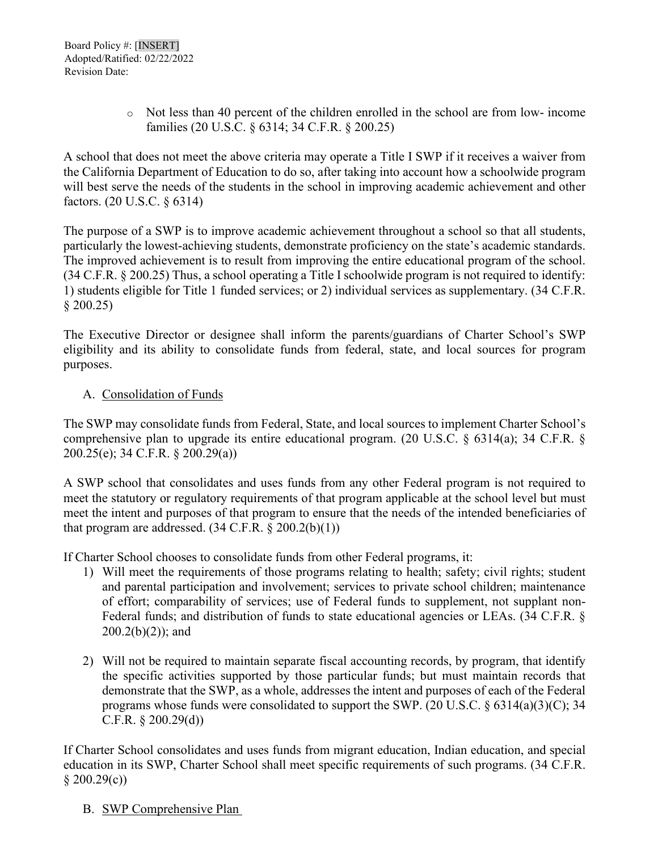o Not less than 40 percent of the children enrolled in the school are from low- income families (20 U.S.C. § 6314; 34 C.F.R. § 200.25)

A school that does not meet the above criteria may operate a Title I SWP if it receives a waiver from the California Department of Education to do so, after taking into account how a schoolwide program will best serve the needs of the students in the school in improving academic achievement and other factors. (20 U.S.C. § 6314)

The purpose of a SWP is to improve academic achievement throughout a school so that all students, particularly the lowest-achieving students, demonstrate proficiency on the state's academic standards. The improved achievement is to result from improving the entire educational program of the school. (34 C.F.R. § 200.25) Thus, a school operating a Title I schoolwide program is not required to identify: 1) students eligible for Title 1 funded services; or 2) individual services as supplementary. (34 C.F.R. § 200.25)

The Executive Director or designee shall inform the parents/guardians of Charter School's SWP eligibility and its ability to consolidate funds from federal, state, and local sources for program purposes.

### A. Consolidation of Funds

The SWP may consolidate funds from Federal, State, and local sources to implement Charter School's comprehensive plan to upgrade its entire educational program. (20 U.S.C. § 6314(a); 34 C.F.R. § 200.25(e); 34 C.F.R. § 200.29(a))

A SWP school that consolidates and uses funds from any other Federal program is not required to meet the statutory or regulatory requirements of that program applicable at the school level but must meet the intent and purposes of that program to ensure that the needs of the intended beneficiaries of that program are addressed.  $(34 \text{ C.F.R.} \S 200.2(b)(1))$ 

If Charter School chooses to consolidate funds from other Federal programs, it:

- 1) Will meet the requirements of those programs relating to health; safety; civil rights; student and parental participation and involvement; services to private school children; maintenance of effort; comparability of services; use of Federal funds to supplement, not supplant non-Federal funds; and distribution of funds to state educational agencies or LEAs. (34 C.F.R. §  $200.2(b)(2)$ ; and
- 2) Will not be required to maintain separate fiscal accounting records, by program, that identify the specific activities supported by those particular funds; but must maintain records that demonstrate that the SWP, as a whole, addresses the intent and purposes of each of the Federal programs whose funds were consolidated to support the SWP. (20 U.S.C. § 6314(a)(3)(C); 34 C.F.R. § 200.29(d))

If Charter School consolidates and uses funds from migrant education, Indian education, and special education in its SWP, Charter School shall meet specific requirements of such programs. (34 C.F.R.  $§ 200.29(c))$ 

B. SWP Comprehensive Plan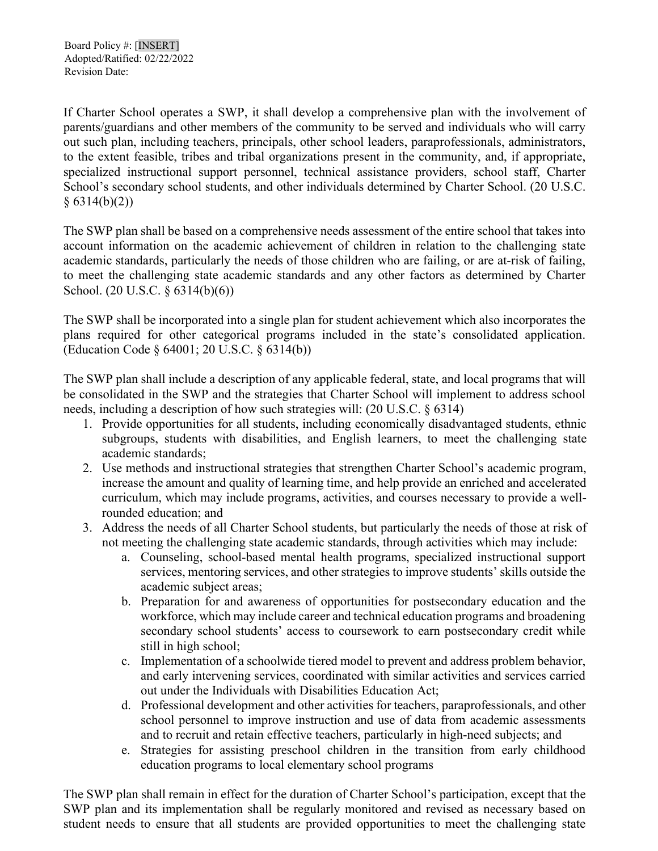If Charter School operates a SWP, it shall develop a comprehensive plan with the involvement of parents/guardians and other members of the community to be served and individuals who will carry out such plan, including teachers, principals, other school leaders, paraprofessionals, administrators, to the extent feasible, tribes and tribal organizations present in the community, and, if appropriate, specialized instructional support personnel, technical assistance providers, school staff, Charter School's secondary school students, and other individuals determined by Charter School. (20 U.S.C.  $§ 6314(b)(2))$ 

The SWP plan shall be based on a comprehensive needs assessment of the entire school that takes into account information on the academic achievement of children in relation to the challenging state academic standards, particularly the needs of those children who are failing, or are at-risk of failing, to meet the challenging state academic standards and any other factors as determined by Charter School. (20 U.S.C. § 6314(b)(6))

The SWP shall be incorporated into a single plan for student achievement which also incorporates the plans required for other categorical programs included in the state's consolidated application. (Education Code § 64001; 20 U.S.C. § 6314(b))

The SWP plan shall include a description of any applicable federal, state, and local programs that will be consolidated in the SWP and the strategies that Charter School will implement to address school needs, including a description of how such strategies will: (20 U.S.C. § 6314)

- 1. Provide opportunities for all students, including economically disadvantaged students, ethnic subgroups, students with disabilities, and English learners, to meet the challenging state academic standards;
- 2. Use methods and instructional strategies that strengthen Charter School's academic program, increase the amount and quality of learning time, and help provide an enriched and accelerated curriculum, which may include programs, activities, and courses necessary to provide a wellrounded education; and
- 3. Address the needs of all Charter School students, but particularly the needs of those at risk of not meeting the challenging state academic standards, through activities which may include:
	- a. Counseling, school-based mental health programs, specialized instructional support services, mentoring services, and other strategies to improve students' skills outside the academic subject areas;
	- b. Preparation for and awareness of opportunities for postsecondary education and the workforce, which may include career and technical education programs and broadening secondary school students' access to coursework to earn postsecondary credit while still in high school;
	- c. Implementation of a schoolwide tiered model to prevent and address problem behavior, and early intervening services, coordinated with similar activities and services carried out under the Individuals with Disabilities Education Act;
	- d. Professional development and other activities for teachers, paraprofessionals, and other school personnel to improve instruction and use of data from academic assessments and to recruit and retain effective teachers, particularly in high-need subjects; and
	- e. Strategies for assisting preschool children in the transition from early childhood education programs to local elementary school programs

The SWP plan shall remain in effect for the duration of Charter School's participation, except that the SWP plan and its implementation shall be regularly monitored and revised as necessary based on student needs to ensure that all students are provided opportunities to meet the challenging state